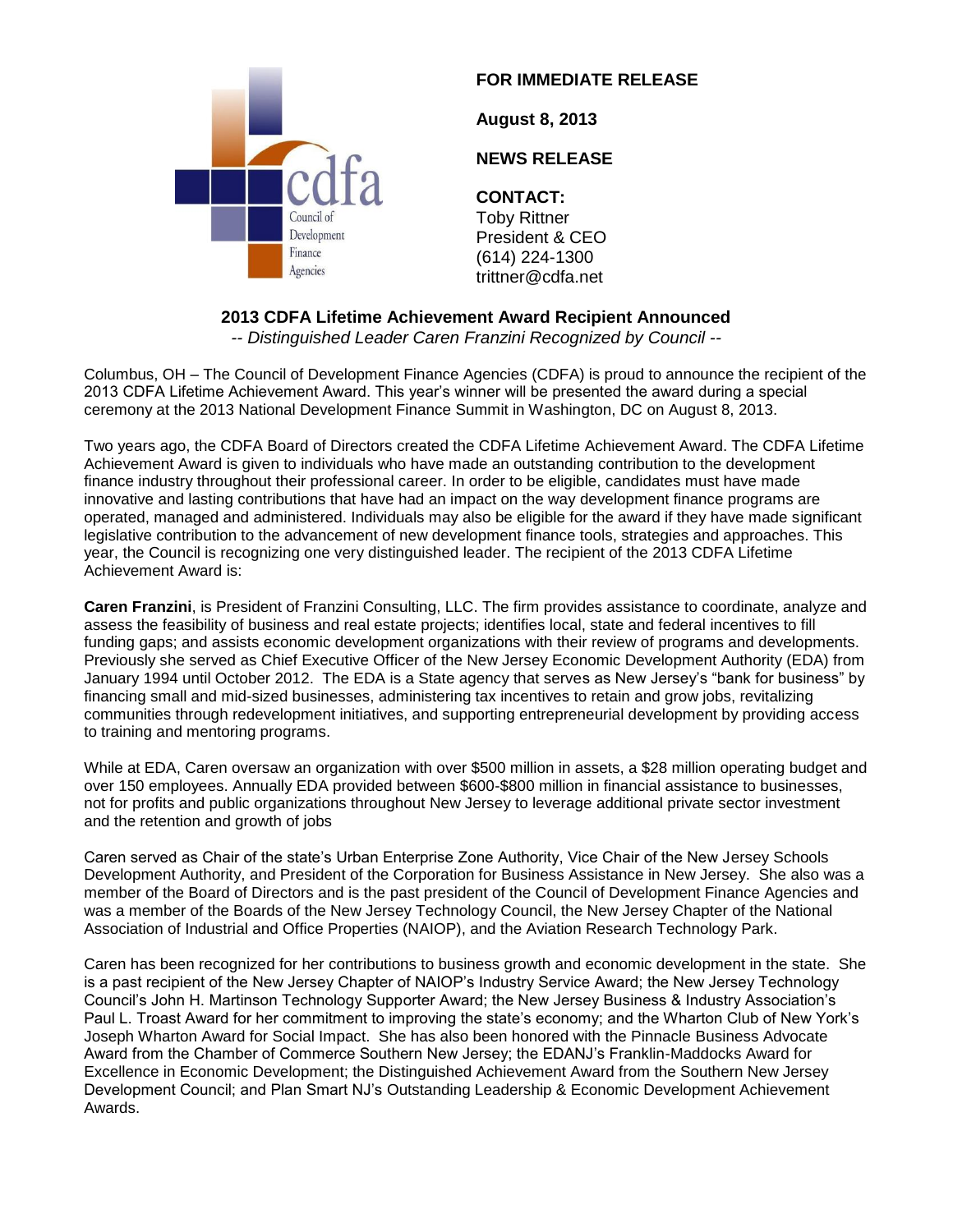

#### **FOR IMMEDIATE RELEASE**

**August 8, 2013**

# **NEWS RELEASE**

### **CONTACT:**

Toby Rittner President & CEO (614) 224-1300 trittner@cdfa.net

# **2013 CDFA Lifetime Achievement Award Recipient Announced**

*-- Distinguished Leader Caren Franzini Recognized by Council --*

Columbus, OH – The Council of Development Finance Agencies (CDFA) is proud to announce the recipient of the 2013 CDFA Lifetime Achievement Award. This year's winner will be presented the award during a special ceremony at the 2013 National Development Finance Summit in Washington, DC on August 8, 2013.

Two years ago, the CDFA Board of Directors created the CDFA Lifetime Achievement Award. The CDFA Lifetime Achievement Award is given to individuals who have made an outstanding contribution to the development finance industry throughout their professional career. In order to be eligible, candidates must have made innovative and lasting contributions that have had an impact on the way development finance programs are operated, managed and administered. Individuals may also be eligible for the award if they have made significant legislative contribution to the advancement of new development finance tools, strategies and approaches. This year, the Council is recognizing one very distinguished leader. The recipient of the 2013 CDFA Lifetime Achievement Award is:

**Caren Franzini**, is President of Franzini Consulting, LLC. The firm provides assistance to coordinate, analyze and assess the feasibility of business and real estate projects; identifies local, state and federal incentives to fill funding gaps; and assists economic development organizations with their review of programs and developments. Previously she served as Chief Executive Officer of the New Jersey Economic Development Authority (EDA) from January 1994 until October 2012. The EDA is a State agency that serves as New Jersey's "bank for business" by financing small and mid-sized businesses, administering tax incentives to retain and grow jobs, revitalizing communities through redevelopment initiatives, and supporting entrepreneurial development by providing access to training and mentoring programs.

While at EDA, Caren oversaw an organization with over \$500 million in assets, a \$28 million operating budget and over 150 employees. Annually EDA provided between \$600-\$800 million in financial assistance to businesses, not for profits and public organizations throughout New Jersey to leverage additional private sector investment and the retention and growth of jobs

Caren served as Chair of the state's Urban Enterprise Zone Authority, Vice Chair of the New Jersey Schools Development Authority, and President of the Corporation for Business Assistance in New Jersey. She also was a member of the Board of Directors and is the past president of the Council of Development Finance Agencies and was a member of the Boards of the New Jersey Technology Council, the New Jersey Chapter of the National Association of Industrial and Office Properties (NAIOP), and the Aviation Research Technology Park.

Caren has been recognized for her contributions to business growth and economic development in the state. She is a past recipient of the New Jersey Chapter of NAIOP's Industry Service Award; the New Jersey Technology Council's John H. Martinson Technology Supporter Award; the New Jersey Business & Industry Association's Paul L. Troast Award for her commitment to improving the state's economy; and the Wharton Club of New York's Joseph Wharton Award for Social Impact. She has also been honored with the Pinnacle Business Advocate Award from the Chamber of Commerce Southern New Jersey; the EDANJ's Franklin-Maddocks Award for Excellence in Economic Development; the Distinguished Achievement Award from the Southern New Jersey Development Council; and Plan Smart NJ's Outstanding Leadership & Economic Development Achievement Awards.